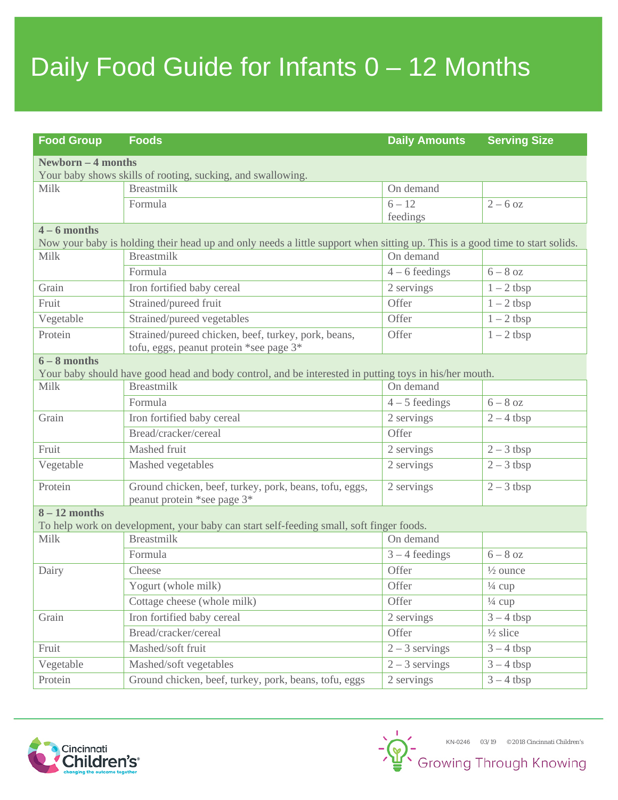# Daily Food Guide for Infants 0 – 12 Months

| <b>Food Group</b>                                                                                                                              | <b>Foods</b>                                                                                   | <b>Daily Amounts</b> | <b>Serving Size</b>     |
|------------------------------------------------------------------------------------------------------------------------------------------------|------------------------------------------------------------------------------------------------|----------------------|-------------------------|
| <b>Newborn - 4 months</b>                                                                                                                      |                                                                                                |                      |                         |
| Your baby shows skills of rooting, sucking, and swallowing.                                                                                    |                                                                                                |                      |                         |
| Milk                                                                                                                                           | <b>Breastmilk</b>                                                                              | On demand            |                         |
|                                                                                                                                                | Formula                                                                                        | $6 - 12$<br>feedings | $2 - 6$ oz              |
| $4 - 6$ months<br>Now your baby is holding their head up and only needs a little support when sitting up. This is a good time to start solids. |                                                                                                |                      |                         |
| Milk                                                                                                                                           | <b>Breastmilk</b>                                                                              | On demand            |                         |
|                                                                                                                                                | Formula                                                                                        | $4 - 6$ feedings     | $6 - 8$ oz              |
| Grain                                                                                                                                          | Iron fortified baby cereal                                                                     | 2 servings           | $1 - 2$ tbsp            |
| Fruit                                                                                                                                          | Strained/pureed fruit                                                                          | Offer                | $1 - 2$ tbsp            |
| Vegetable                                                                                                                                      | Strained/pureed vegetables                                                                     | Offer                | $1 - 2$ tbsp            |
| Protein                                                                                                                                        | Strained/pureed chicken, beef, turkey, pork, beans,<br>tofu, eggs, peanut protein *see page 3* | Offer                | $1 - 2$ tbsp            |
| $6 - 8$ months                                                                                                                                 |                                                                                                |                      |                         |
| Your baby should have good head and body control, and be interested in putting toys in his/her mouth.                                          |                                                                                                |                      |                         |
| Milk                                                                                                                                           | <b>Breastmilk</b>                                                                              | On demand            |                         |
|                                                                                                                                                | Formula                                                                                        | $4-5$ feedings       | $6 - 8$ oz              |
| Grain                                                                                                                                          | Iron fortified baby cereal                                                                     | 2 servings           | $2 - 4$ tbsp            |
|                                                                                                                                                | Bread/cracker/cereal                                                                           | Offer                |                         |
| Fruit                                                                                                                                          | Mashed fruit                                                                                   | 2 servings           | $2 - 3$ tbsp            |
| Vegetable                                                                                                                                      | Mashed vegetables                                                                              | 2 servings           | $2 - 3$ tbsp            |
| Protein                                                                                                                                        | Ground chicken, beef, turkey, pork, beans, tofu, eggs,<br>peanut protein *see page 3*          | 2 servings           | $2 - 3$ tbsp            |
| $8 - 12$ months                                                                                                                                |                                                                                                |                      |                         |
| To help work on development, your baby can start self-feeding small, soft finger foods.                                                        |                                                                                                |                      |                         |
| Milk                                                                                                                                           | <b>Breastmilk</b>                                                                              | On demand            |                         |
|                                                                                                                                                | Formula                                                                                        | $3 - 4$ feedings     | $6 - 8$ oz              |
| Dairy                                                                                                                                          | Cheese                                                                                         | Offer                | $\frac{1}{2}$ ounce     |
|                                                                                                                                                | Yogurt (whole milk)                                                                            | Offer                | $\frac{1}{4}$ cup       |
|                                                                                                                                                | Cottage cheese (whole milk)                                                                    | Offer                | $\frac{1}{4}$ cup       |
| Grain                                                                                                                                          | Iron fortified baby cereal                                                                     | 2 servings           | $3 - 4$ tbsp            |
|                                                                                                                                                | Bread/cracker/cereal                                                                           | Offer                | $\frac{1}{2}$ slice     |
| Fruit                                                                                                                                          | Mashed/soft fruit                                                                              | $2 - 3$ servings     | $3 - 4$ tbsp            |
| Vegetable                                                                                                                                      | Mashed/soft vegetables                                                                         | $2 - 3$ servings     | $3 - 4$ tbsp            |
| Protein                                                                                                                                        | Ground chicken, beef, turkey, pork, beans, tofu, eggs                                          | 2 servings           | $\overline{3} - 4$ tbsp |

KN-0246 03/19 ©2018 Cincinnati Children's<br>Growing Through Knowing

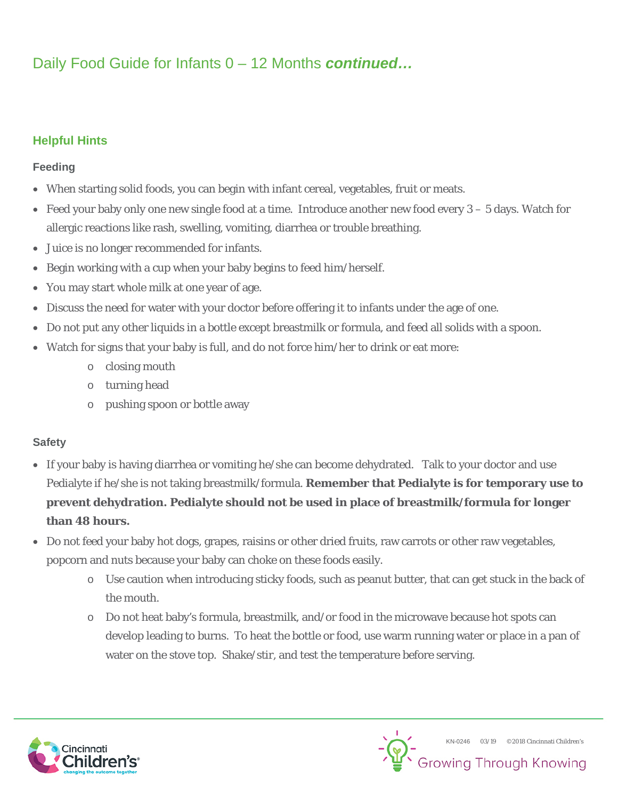# Daily Food Guide for Infants 0 – 12 Months *continued…*

## **Helpful Hints**

### **Feeding**

- When starting solid foods, you can begin with infant cereal, vegetables, fruit or meats.
- Feed your baby only one new single food at a time. Introduce another new food every 3 5 days. Watch for allergic reactions like rash, swelling, vomiting, diarrhea or trouble breathing.
- Juice is no longer recommended for infants.
- Begin working with a cup when your baby begins to feed him/herself.
- You may start whole milk at one year of age.
- Discuss the need for water with your doctor before offering it to infants under the age of one.
- Do not put any other liquids in a bottle except breastmilk or formula, and feed all solids with a spoon.
- Watch for signs that your baby is full, and do not force him/her to drink or eat more:
	- o closing mouth
	- o turning head
	- o pushing spoon or bottle away

#### **Safety**

- If your baby is having diarrhea or vomiting he/she can become dehydrated. Talk to your doctor and use Pedialyte if he/she is not taking breastmilk/formula. **Remember that Pedialyte is for temporary use to prevent dehydration. Pedialyte should not be used in place of breastmilk/formula for longer than 48 hours.**
- Do not feed your baby hot dogs, grapes, raisins or other dried fruits, raw carrots or other raw vegetables, popcorn and nuts because your baby can choke on these foods easily.
	- o Use caution when introducing sticky foods, such as peanut butter, that can get stuck in the back of the mouth.
	- o Do not heat baby's formula, breastmilk, and/or food in the microwave because hot spots can develop leading to burns. To heat the bottle or food, use warm running water or place in a pan of water on the stove top. Shake/stir, and test the temperature before serving.

KN-0246 03/19 ©2018 Cincinnati Children's

**Growing Through Knowing**